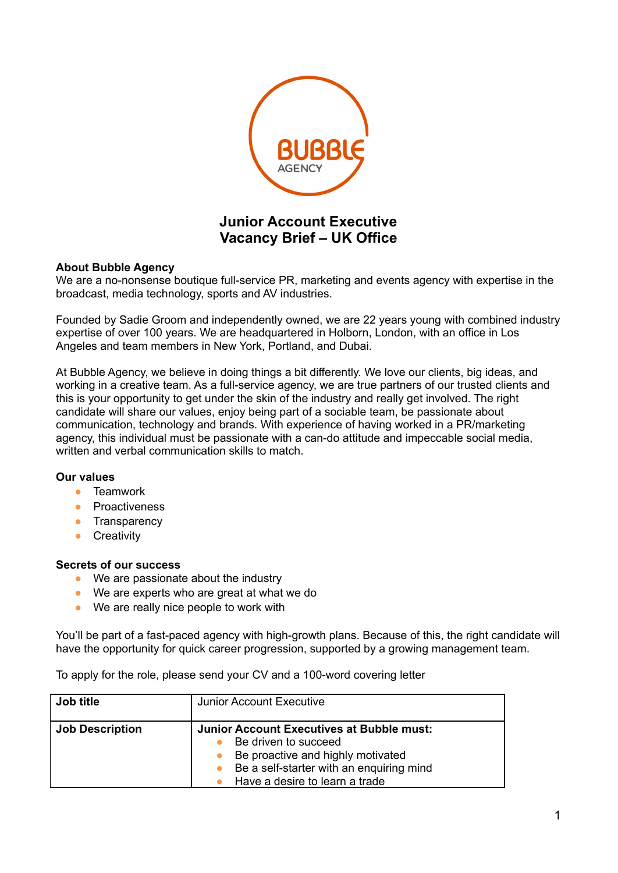

## **Junior Account Executive Vacancy Brief – UK Office**

## **About Bubble Agency**

We are a no-nonsense boutique full-service PR, marketing and events agency with expertise in the broadcast, media technology, sports and AV industries.

Founded by Sadie Groom and independently owned, we are 22 years young with combined industry expertise of over 100 years. We are headquartered in Holborn, London, with an office in Los Angeles and team members in New York, Portland, and Dubai.

At Bubble Agency, we believe in doing things a bit differently. We love our clients, big ideas, and working in a creative team. As a full-service agency, we are true partners of our trusted clients and this is your opportunity to get under the skin of the industry and really get involved. The right candidate will share our values, enjoy being part of a sociable team, be passionate about communication, technology and brands. With experience of having worked in a PR/marketing agency, this individual must be passionate with a can-do attitude and impeccable social media, written and verbal communication skills to match.

## **Our values**

- **●** Teamwork
- **Proactiveness**
- **•** Transparency
- **●** Creativity

## **Secrets of our success**

- We are passionate about the industry
- We are experts who are great at what we do
- We are really nice people to work with

You'll be part of a fast-paced agency with high-growth plans. Because of this, the right candidate will have the opportunity for quick career progression, supported by a growing management team.

To apply for the role, please send your CV and a 100-word covering letter

| Job title              | <b>Junior Account Executive</b>                                                                                                                                                             |
|------------------------|---------------------------------------------------------------------------------------------------------------------------------------------------------------------------------------------|
| <b>Job Description</b> | <b>Junior Account Executives at Bubble must:</b><br>Be driven to succeed<br>Be proactive and highly motivated<br>Be a self-starter with an enquiring mind<br>Have a desire to learn a trade |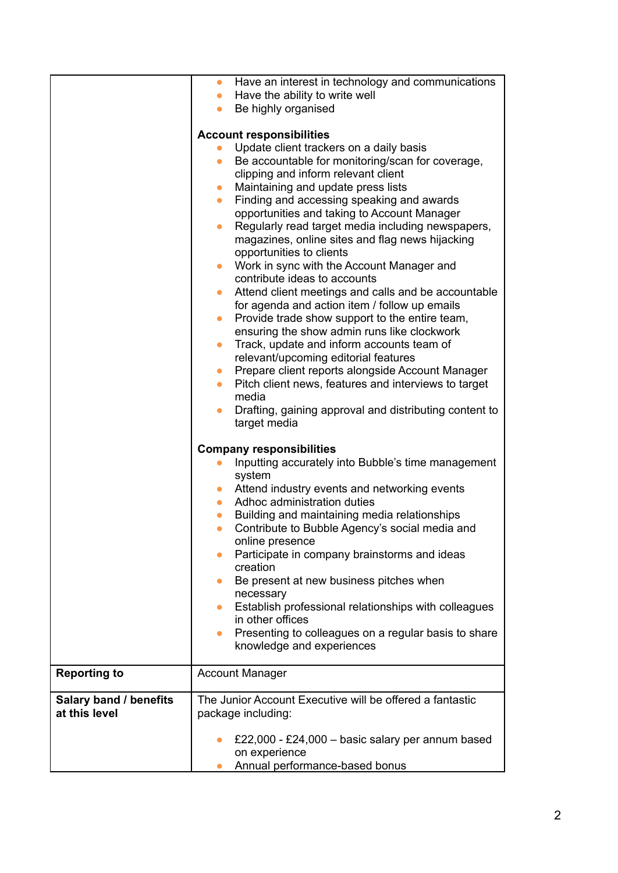|                        | Have an interest in technology and communications<br>$\bullet$                         |
|------------------------|----------------------------------------------------------------------------------------|
|                        | Have the ability to write well<br>$\bullet$                                            |
|                        | Be highly organised<br>$\bullet$                                                       |
|                        | <b>Account responsibilities</b>                                                        |
|                        | Update client trackers on a daily basis                                                |
|                        | Be accountable for monitoring/scan for coverage,<br>$\bullet$                          |
|                        | clipping and inform relevant client                                                    |
|                        | Maintaining and update press lists<br>$\bullet$                                        |
|                        | Finding and accessing speaking and awards<br>$\bullet$                                 |
|                        | opportunities and taking to Account Manager                                            |
|                        | Regularly read target media including newspapers,<br>$\bullet$                         |
|                        | magazines, online sites and flag news hijacking                                        |
|                        | opportunities to clients                                                               |
|                        | Work in sync with the Account Manager and<br>$\bullet$<br>contribute ideas to accounts |
|                        | Attend client meetings and calls and be accountable<br>$\bullet$                       |
|                        | for agenda and action item / follow up emails                                          |
|                        | Provide trade show support to the entire team,<br>$\bullet$                            |
|                        | ensuring the show admin runs like clockwork                                            |
|                        | Track, update and inform accounts team of<br>$\bullet$                                 |
|                        | relevant/upcoming editorial features                                                   |
|                        | Prepare client reports alongside Account Manager<br>$\bullet$                          |
|                        | Pitch client news, features and interviews to target<br>$\bullet$                      |
|                        | media                                                                                  |
|                        | Drafting, gaining approval and distributing content to<br>$\bullet$                    |
|                        | target media                                                                           |
|                        | <b>Company responsibilities</b>                                                        |
|                        | Inputting accurately into Bubble's time management                                     |
|                        | system                                                                                 |
|                        | Attend industry events and networking events<br>$\bullet$                              |
|                        | Adhoc administration duties<br>$\bullet$                                               |
|                        | Building and maintaining media relationships<br>$\bullet$                              |
|                        | Contribute to Bubble Agency's social media and<br>$\bullet$                            |
|                        | online presence                                                                        |
|                        | Participate in company brainstorms and ideas<br>$\bullet$<br>creation                  |
|                        | Be present at new business pitches when<br>$\bullet$                                   |
|                        | necessary                                                                              |
|                        | Establish professional relationships with colleagues<br>$\bullet$                      |
|                        | in other offices                                                                       |
|                        | Presenting to colleagues on a regular basis to share<br>$\bullet$                      |
|                        | knowledge and experiences                                                              |
|                        |                                                                                        |
| <b>Reporting to</b>    | <b>Account Manager</b>                                                                 |
| Salary band / benefits | The Junior Account Executive will be offered a fantastic                               |
| at this level          | package including:                                                                     |
|                        |                                                                                        |
|                        | £22,000 - £24,000 - basic salary per annum based                                       |
|                        | on experience                                                                          |
|                        | Annual performance-based bonus                                                         |